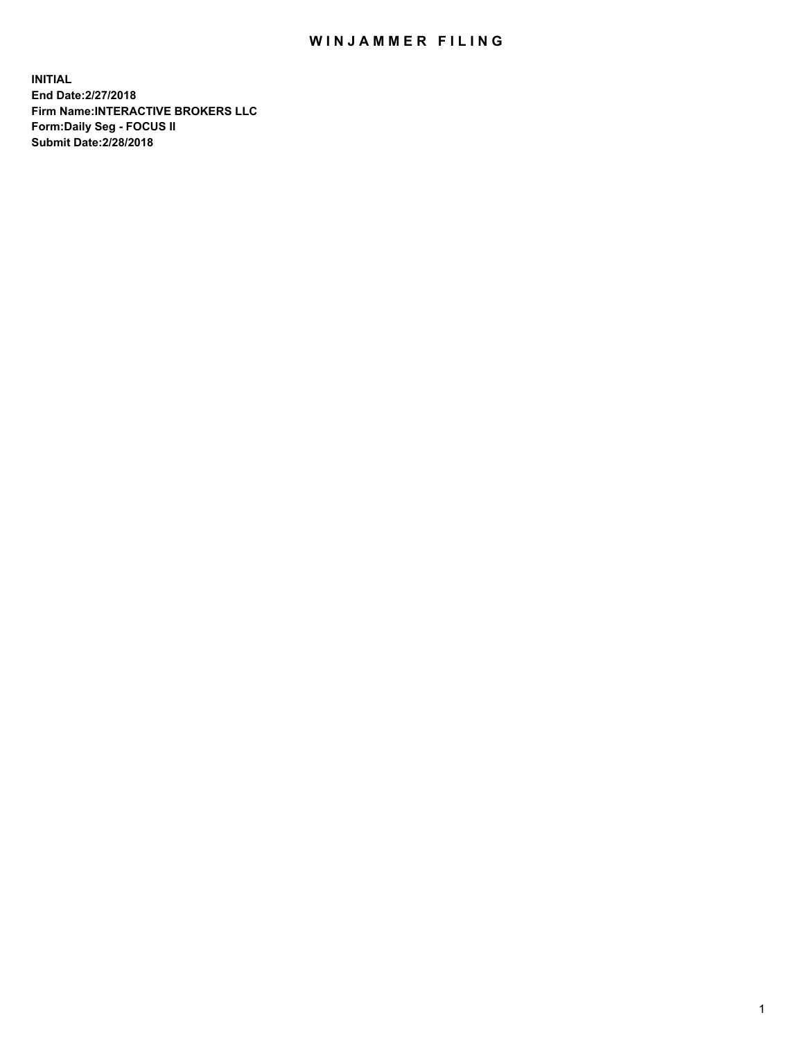## WIN JAMMER FILING

**INITIAL End Date:2/27/2018 Firm Name:INTERACTIVE BROKERS LLC Form:Daily Seg - FOCUS II Submit Date:2/28/2018**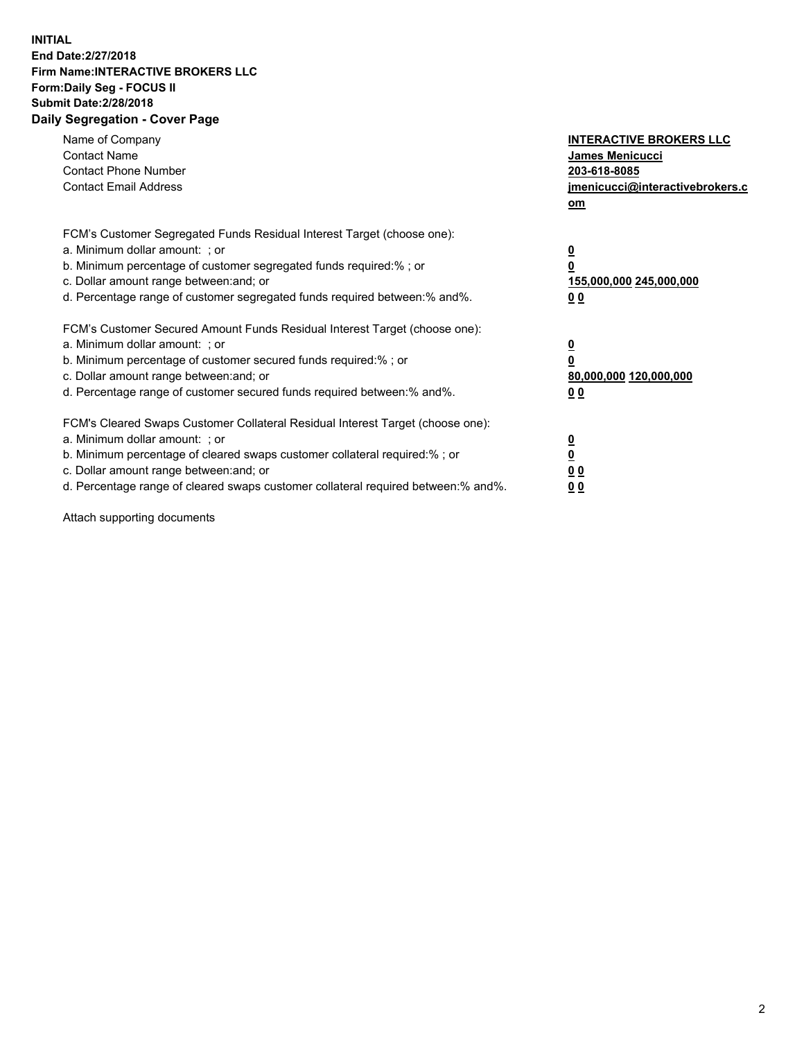## **INITIAL End Date:2/27/2018 Firm Name:INTERACTIVE BROKERS LLC Form:Daily Seg - FOCUS II Submit Date:2/28/2018 Daily Segregation - Cover Page**

| Name of Company<br><b>Contact Name</b><br><b>Contact Phone Number</b><br><b>Contact Email Address</b>                                                                                                                                                                                                                          | <b>INTERACTIVE BROKERS LLC</b><br>James Menicucci<br>203-618-8085<br>jmenicucci@interactivebrokers.c<br>om |
|--------------------------------------------------------------------------------------------------------------------------------------------------------------------------------------------------------------------------------------------------------------------------------------------------------------------------------|------------------------------------------------------------------------------------------------------------|
| FCM's Customer Segregated Funds Residual Interest Target (choose one):<br>a. Minimum dollar amount: ; or<br>b. Minimum percentage of customer segregated funds required:%; or<br>c. Dollar amount range between: and; or<br>d. Percentage range of customer segregated funds required between:% and%.                          | $\overline{\mathbf{0}}$<br>0<br>155,000,000 245,000,000<br>0 <sub>0</sub>                                  |
| FCM's Customer Secured Amount Funds Residual Interest Target (choose one):<br>a. Minimum dollar amount: ; or<br>b. Minimum percentage of customer secured funds required:%; or<br>c. Dollar amount range between: and; or<br>d. Percentage range of customer secured funds required between:% and%.                            | $\overline{\mathbf{0}}$<br>$\overline{\mathbf{0}}$<br>80,000,000 120,000,000<br>00                         |
| FCM's Cleared Swaps Customer Collateral Residual Interest Target (choose one):<br>a. Minimum dollar amount: ; or<br>b. Minimum percentage of cleared swaps customer collateral required:% ; or<br>c. Dollar amount range between: and; or<br>d. Percentage range of cleared swaps customer collateral required between:% and%. | $\overline{\mathbf{0}}$<br>$\overline{\mathbf{0}}$<br>0 <sub>0</sub><br><u>00</u>                          |

Attach supporting documents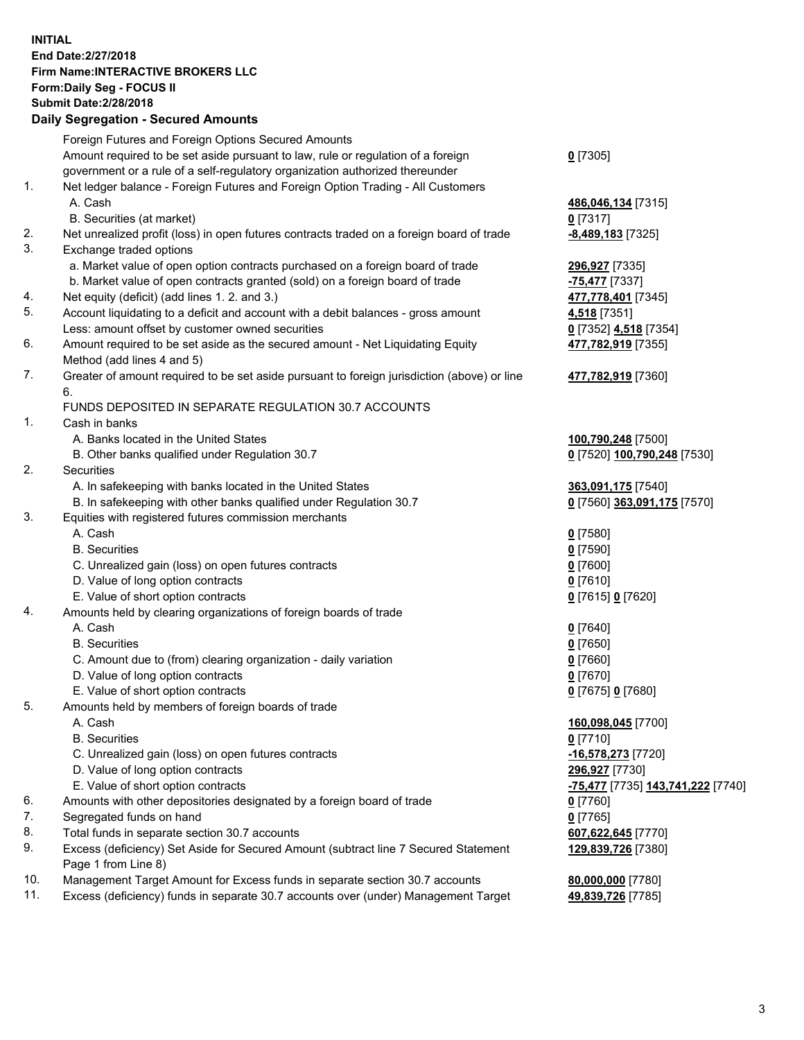## **INITIAL End Date:2/27/2018 Firm Name:INTERACTIVE BROKERS LLC Form:Daily Seg - FOCUS II Submit Date:2/28/2018 Daily Segregation - Secured Amounts**

|     | Daily Ocglegation - Occured Aniounts                                                        |                                   |
|-----|---------------------------------------------------------------------------------------------|-----------------------------------|
|     | Foreign Futures and Foreign Options Secured Amounts                                         |                                   |
|     | Amount required to be set aside pursuant to law, rule or regulation of a foreign            | $0$ [7305]                        |
|     | government or a rule of a self-regulatory organization authorized thereunder                |                                   |
| 1.  | Net ledger balance - Foreign Futures and Foreign Option Trading - All Customers             |                                   |
|     | A. Cash                                                                                     | 486,046,134 [7315]                |
|     | B. Securities (at market)                                                                   | $0$ [7317]                        |
| 2.  | Net unrealized profit (loss) in open futures contracts traded on a foreign board of trade   | $-8,489,183$ [7325]               |
| 3.  | Exchange traded options                                                                     |                                   |
|     | a. Market value of open option contracts purchased on a foreign board of trade              | 296,927 [7335]                    |
|     | b. Market value of open contracts granted (sold) on a foreign board of trade                | -75,477 [7337]                    |
| 4.  | Net equity (deficit) (add lines 1.2. and 3.)                                                | 477,778,401 [7345]                |
| 5.  | Account liquidating to a deficit and account with a debit balances - gross amount           | 4,518 [7351]                      |
|     | Less: amount offset by customer owned securities                                            | 0 [7352] 4,518 [7354]             |
| 6.  | Amount required to be set aside as the secured amount - Net Liquidating Equity              | 477,782,919 [7355]                |
|     | Method (add lines 4 and 5)                                                                  |                                   |
| 7.  | Greater of amount required to be set aside pursuant to foreign jurisdiction (above) or line | 477,782,919 [7360]                |
|     | 6.                                                                                          |                                   |
|     | FUNDS DEPOSITED IN SEPARATE REGULATION 30.7 ACCOUNTS                                        |                                   |
| 1.  | Cash in banks                                                                               |                                   |
|     | A. Banks located in the United States                                                       | 100,790,248 [7500]                |
|     | B. Other banks qualified under Regulation 30.7                                              | 0 [7520] 100,790,248 [7530]       |
| 2.  | <b>Securities</b>                                                                           |                                   |
|     | A. In safekeeping with banks located in the United States                                   | 363,091,175 [7540]                |
|     | B. In safekeeping with other banks qualified under Regulation 30.7                          | 0 [7560] 363,091,175 [7570]       |
| 3.  | Equities with registered futures commission merchants                                       |                                   |
|     | A. Cash                                                                                     | $0$ [7580]                        |
|     | <b>B.</b> Securities                                                                        | $0$ [7590]                        |
|     | C. Unrealized gain (loss) on open futures contracts                                         | $0$ [7600]                        |
|     | D. Value of long option contracts                                                           | $0$ [7610]                        |
|     | E. Value of short option contracts                                                          | 0 [7615] 0 [7620]                 |
| 4.  | Amounts held by clearing organizations of foreign boards of trade                           |                                   |
|     | A. Cash                                                                                     | $0$ [7640]                        |
|     | <b>B.</b> Securities                                                                        | $0$ [7650]                        |
|     | C. Amount due to (from) clearing organization - daily variation                             | $0$ [7660]                        |
|     | D. Value of long option contracts                                                           | $0$ [7670]                        |
|     | E. Value of short option contracts                                                          | 0 [7675] 0 [7680]                 |
| 5.  | Amounts held by members of foreign boards of trade                                          |                                   |
|     | A. Cash                                                                                     | 160,098,045 [7700]                |
|     | <b>B.</b> Securities                                                                        | $0$ [7710]                        |
|     | C. Unrealized gain (loss) on open futures contracts                                         | -16,578,273 [7720]                |
|     | D. Value of long option contracts                                                           | 296,927 [7730]                    |
|     | E. Value of short option contracts                                                          | -75,477 [7735] 143,741,222 [7740] |
| 6.  | Amounts with other depositories designated by a foreign board of trade                      |                                   |
| 7.  | Segregated funds on hand                                                                    | 0 [7760]                          |
| 8.  |                                                                                             | $0$ [7765]                        |
|     | Total funds in separate section 30.7 accounts                                               | 607,622,645 [7770]                |
| 9.  | Excess (deficiency) Set Aside for Secured Amount (subtract line 7 Secured Statement         | 129,839,726 [7380]                |
|     | Page 1 from Line 8)                                                                         |                                   |
| 10. | Management Target Amount for Excess funds in separate section 30.7 accounts                 | 80,000,000 [7780]                 |
| 11. | Excess (deficiency) funds in separate 30.7 accounts over (under) Management Target          | 49,839,726 [7785]                 |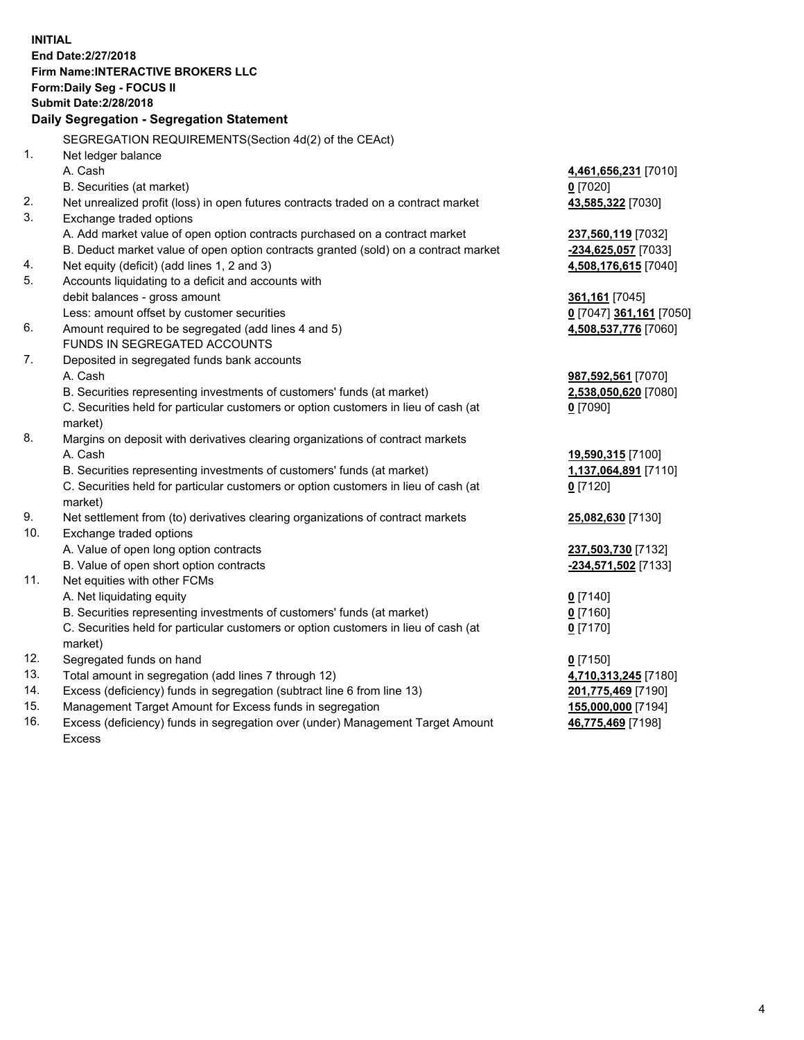**INITIAL End Date:2/27/2018 Firm Name:INTERACTIVE BROKERS LLC Form:Daily Seg - FOCUS II Submit Date:2/28/2018 Daily Segregation - Segregation Statement** SEGREGATION REQUIREMENTS(Section 4d(2) of the CEAct) 1. Net ledger balance A. Cash **4,461,656,231** [7010] B. Securities (at market) **0** [7020] 2. Net unrealized profit (loss) in open futures contracts traded on a contract market **43,585,322** [7030] 3. Exchange traded options A. Add market value of open option contracts purchased on a contract market **237,560,119** [7032] B. Deduct market value of open option contracts granted (sold) on a contract market **-234,625,057** [7033] 4. Net equity (deficit) (add lines 1, 2 and 3) **4,508,176,615** [7040] 5. Accounts liquidating to a deficit and accounts with debit balances - gross amount **361,161** [7045] Less: amount offset by customer securities **0** [7047] **361,161** [7050] 6. Amount required to be segregated (add lines 4 and 5) **4,508,537,776** [7060] FUNDS IN SEGREGATED ACCOUNTS 7. Deposited in segregated funds bank accounts A. Cash **987,592,561** [7070] B. Securities representing investments of customers' funds (at market) **2,538,050,620** [7080] C. Securities held for particular customers or option customers in lieu of cash (at market) **0** [7090] 8. Margins on deposit with derivatives clearing organizations of contract markets A. Cash **19,590,315** [7100] B. Securities representing investments of customers' funds (at market) **1,137,064,891** [7110] C. Securities held for particular customers or option customers in lieu of cash (at market) **0** [7120] 9. Net settlement from (to) derivatives clearing organizations of contract markets **25,082,630** [7130] 10. Exchange traded options A. Value of open long option contracts **237,503,730** [7132] B. Value of open short option contracts **-234,571,502** [7133] 11. Net equities with other FCMs A. Net liquidating equity **0** [7140] B. Securities representing investments of customers' funds (at market) **0** [7160] C. Securities held for particular customers or option customers in lieu of cash (at market) **0** [7170] 12. Segregated funds on hand **0** [7150] 13. Total amount in segregation (add lines 7 through 12) **4,710,313,245** [7180] 14. Excess (deficiency) funds in segregation (subtract line 6 from line 13) **201,775,469** [7190] 15. Management Target Amount for Excess funds in segregation **155,000,000** [7194] **46,775,469** [7198]

16. Excess (deficiency) funds in segregation over (under) Management Target Amount Excess